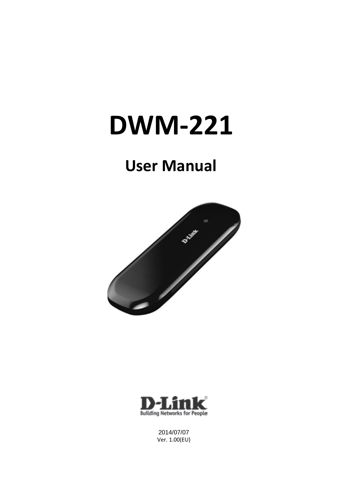# **DWM-221**

## **User Manual**





2014/07/07 Ver. 1.00(EU)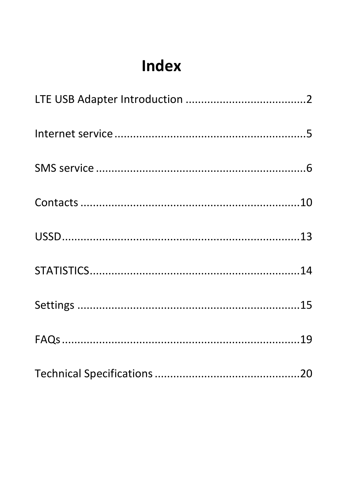# Index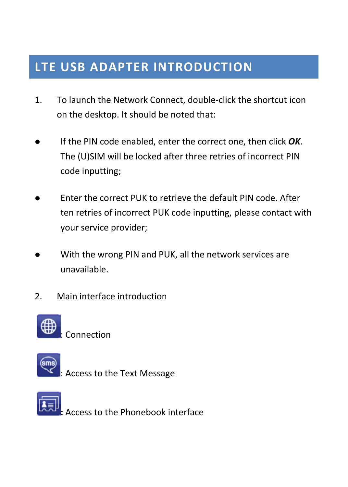### <span id="page-2-0"></span>**LTE USB ADAPTER INTRODUCTION**

- 1. To launch the Network Connect, double-click the shortcut icon on the desktop. It should be noted that:
- If the PIN code enabled, enter the correct one, then click *OK*. The (U)SIM will be locked after three retries of incorrect PIN code inputting;
- Enter the correct PUK to retrieve the default PIN code. After ten retries of incorrect PUK code inputting, please contact with your service provider;
- With the wrong PIN and PUK, all the network services are unavailable.
- 2. Main interface introduction



: Connection



: Access to the Text Message

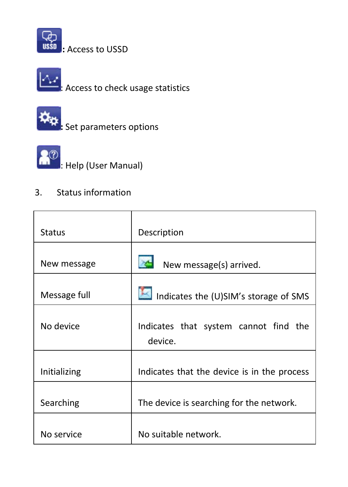





**:** Set parameters options



**3**<sup>2</sup> Help (User Manual)

#### 3. Status information

| <b>Status</b> | Description                                      |
|---------------|--------------------------------------------------|
| New message   | New message(s) arrived.                          |
| Message full  | Indicates the (U)SIM's storage of SMS            |
| No device     | Indicates that system cannot find the<br>device. |
| Initializing  | Indicates that the device is in the process      |
| Searching     | The device is searching for the network.         |
| No service    | No suitable network.                             |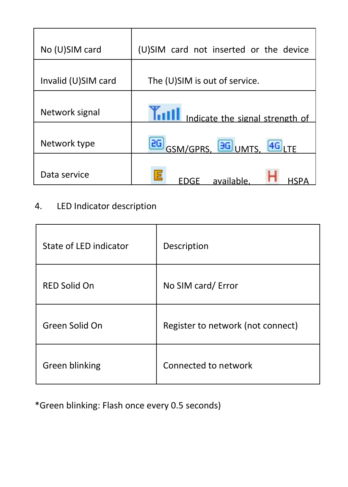| No (U)SIM card      | (U)SIM card not inserted or the device |
|---------------------|----------------------------------------|
| Invalid (U)SIM card | The (U)SIM is out of service.          |
| Network signal      | ndicate the signal strength of         |
| Network type        | <b>2G</b> GSM/GPRS, 3G UMTS, 4G LTE    |
| Data service        | available                              |

### 4. LED Indicator description

| State of LED indicator | Description                       |
|------------------------|-----------------------------------|
| RED Solid On           | No SIM card/ Error                |
| Green Solid On         | Register to network (not connect) |
| Green blinking         | Connected to network              |

\*Green blinking: Flash once every 0.5 seconds)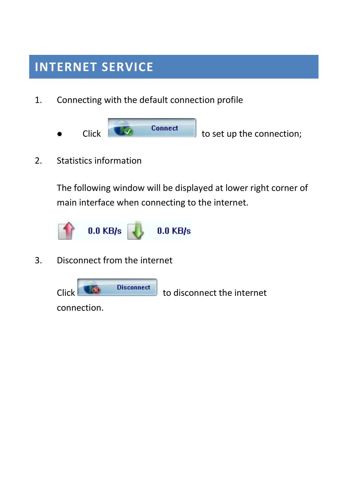### <span id="page-5-0"></span>**INTERNET SERVICE**

- 1. Connecting with the default connection profile
	- $\begin{array}{|c|c|c|c|}\n\hline\n\text{Click} & \text{Connect} \\
	\hline\n\text{Connect} & \text{to set up the connection;} \\
	\hline\n\end{array}$
- 2. Statistics information

The following window will be displayed at lower right corner of main interface when connecting to the internet.



3. Disconnect from the internet



connection.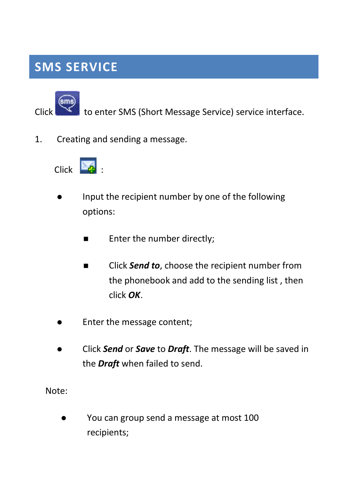### <span id="page-6-0"></span>**SMS SERVICE**



Click to enter SMS (Short Message Service) service interface.

1. Creating and sending a message.



- Input the recipient number by one of the following options:
	- **Enter the number directly;**
	- Click *Send to*, choose the recipient number from the phonebook and add to the sending list , then click *OK*.
- Enter the message content;
- Click *Send* or *Save* to *Draft*. The message will be saved in the *Draft* when failed to send.

Note:

 You can group send a message at most 100 recipients;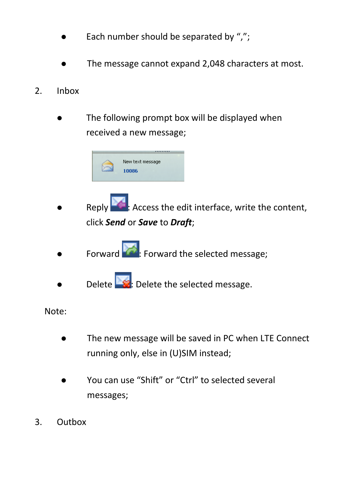- Each number should be separated by ",";
- The message cannot expand 2,048 characters at most.
- 2. Inbox
	- The following prompt box will be displayed when received a new message;



- Reply **1.** Access the edit interface, write the content, click *Send* or *Save* to *Draft*;
- Forward **Formard**: Forward the selected message;
- Delete **Dete**: Delete the selected message.

Note:

- The new message will be saved in PC when LTE Connect running only, else in (U)SIM instead;
- You can use "Shift" or "Ctrl" to selected several messages;
- 3. Outbox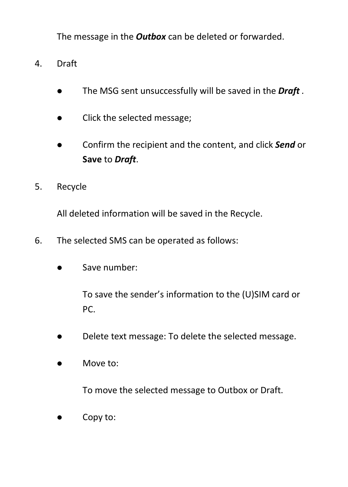The message in the *Outbox* can be deleted or forwarded.

- 4. Draft
	- The MSG sent unsuccessfully will be saved in the *Draft .*
	- Click the selected message;
	- Confirm the recipient and the content, and click *Send* or **Save** to *Draft*.
- 5. Recycle

All deleted information will be saved in the Recycle.

- 6. The selected SMS can be operated as follows:
	- **Save number:**

To save the sender's information to the (U)SIM card or PC.

- Delete text message: To delete the selected message.
- $\bullet$  Move to:

To move the selected message to Outbox or Draft.

Copy to: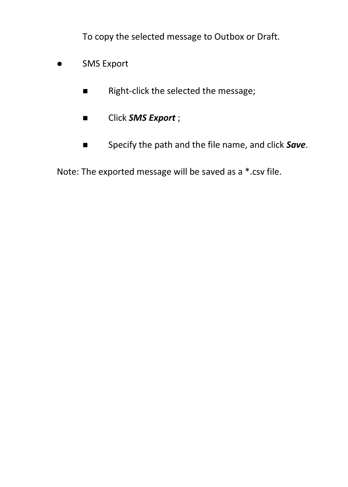To copy the selected message to Outbox or Draft.

- SMS Export
	- Right-click the selected the message;
	- **Export** ;
	- Specify the path and the file name, and click **Save**.

Note: The exported message will be saved as a \*.csv file.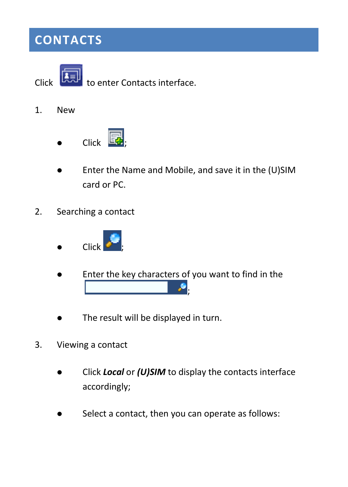### <span id="page-10-0"></span>**CONTACTS**

Click **the Limit of enter Contacts interface.** 

- 1. New
	- $\bullet$  Click  $\boxdot$
	- Enter the Name and Mobile, and save it in the (U)SIM card or PC.
- 2. Searching a contact



- Enter the key characters of you want to find in the ;
- The result will be displayed in turn.
- 3. Viewing a contact
	- Click *Local* or *(U)SIM* to display the contacts interface accordingly;
	- Select a contact, then you can operate as follows: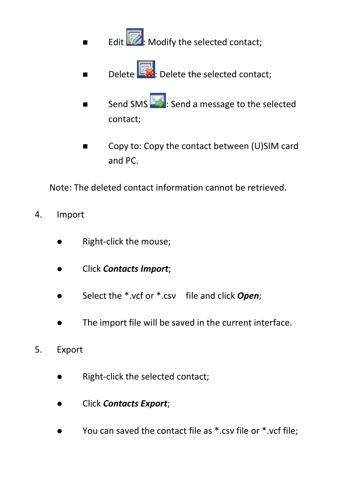- Edit  $\overline{\mathbb{Z}}$ : Modify the selected contact;
- Delete  $\left[\begin{array}{ccc} \bullet & \bullet \\ \bullet & \bullet \end{array}\right]$ : Delete the selected contact:
- Send SMS  $\sum$ : Send a message to the selected contact;
- Copy to: Copy the contact between (U)SIM card and PC.

Note: The deleted contact information cannot be retrieved.

- 4. Import
	- Right-click the mouse;
	- Click *Contacts Import*;
	- Select the \*.vcf or \*.csv file and click *Open*;
	- The import file will be saved in the current interface.
- 5. Export
	- Right-click the selected contact;
	- Click *Contacts Export*;
	- You can saved the contact file as \*.csv file or \*.vcf file;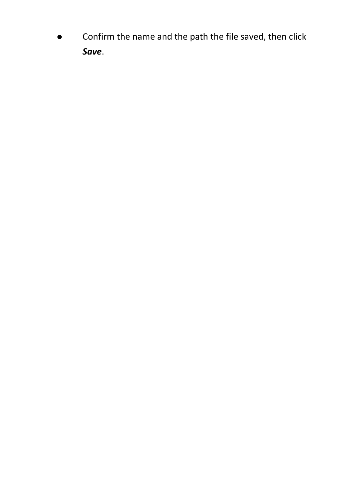Confirm the name and the path the file saved, then click *Save*.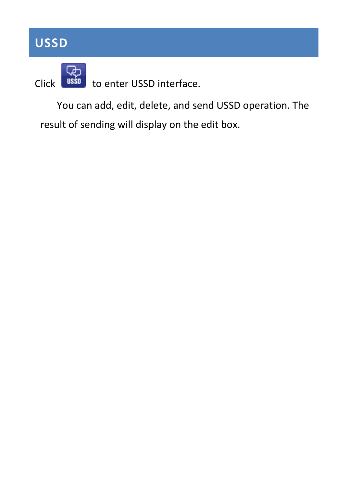### <span id="page-13-0"></span>**USSD**



Click **USSD** to enter USSD interface.

You can add, edit, delete, and send USSD operation. The result of sending will display on the edit box.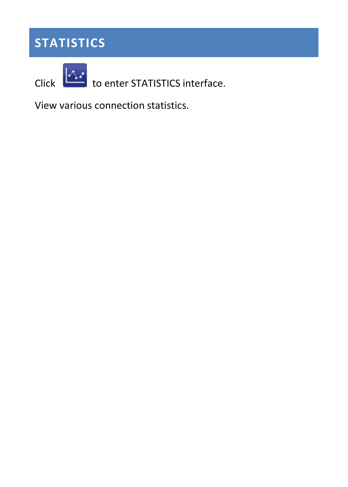### <span id="page-14-0"></span>**STATISTICS**

Click to enter STATISTICS interface.

View various connection statistics.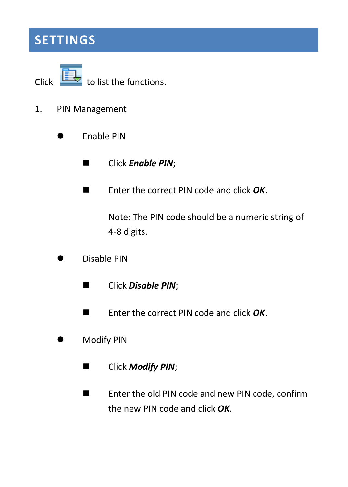### <span id="page-15-0"></span>**SETTINGS**

Click  $\overline{\mathbf{t}}$  to list the functions.

- 1. PIN Management
	- **Contract Finable PIN** 
		- **Example 21 Click Enable PIN;**
		- Enter the correct PIN code and click *OK*.

Note: The PIN code should be a numeric string of 4-8 digits.

- Disable PIN
	- Click *Disable PIN*;
	- Enter the correct PIN code and click OK.
- Modify PIN
	- **Example 2** Click *Modify PIN*;
	- Enter the old PIN code and new PIN code, confirm the new PIN code and click *OK*.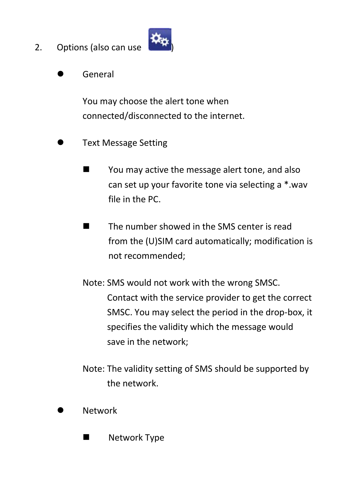2. Options (also can use



General

You may choose the alert tone when connected/disconnected to the internet.

- Text Message Setting
	- You may active the message alert tone, and also can set up your favorite tone via selecting a \*.wav file in the PC.
	- The number showed in the SMS center is read from the (U)SIM card automatically; modification is not recommended;
	- Note: SMS would not work with the wrong SMSC. Contact with the service provider to get the correct SMSC. You may select the period in the drop-box, it specifies the validity which the message would save in the network;
	- Note: The validity setting of SMS should be supported by the network.
- Network
	- **Network Type**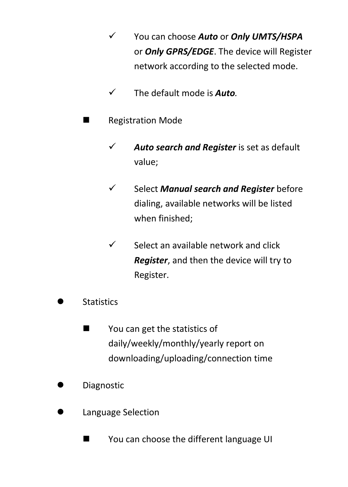- You can choose *Auto* or *Only UMTS/HSPA* or *Only GPRS/EDGE*. The device will Register network according to the selected mode.
- The default mode is *Auto.*
- **Registration Mode** 
	- *Auto search and Register* is set as default value;
	- Select *Manual search and Register* before dialing, available networks will be listed when finished;
	- $\checkmark$  Select an available network and click *Register*, and then the device will try to Register.
- **Statistics** 
	- **Nou can get the statistics of** daily/weekly/monthly/yearly report on downloading/uploading/connection time
- Diagnostic
- Language Selection
	- You can choose the different language UI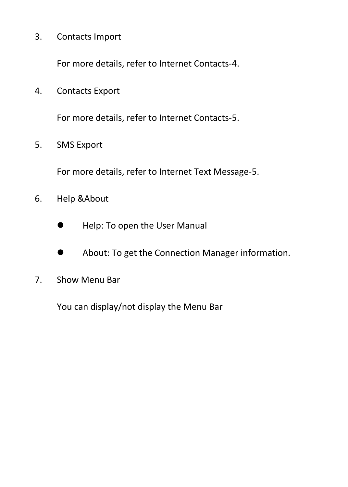3. Contacts Import

For more details, refer to Internet Contacts-4.

4. Contacts Export

For more details, refer to Internet Contacts-5.

5. SMS Export

For more details, refer to Internet Text Message-5.

- 6. Help &About
	- Help: To open the User Manual
	- About: To get the Connection Manager information.
- 7. Show Menu Bar

You can display/not display the Menu Bar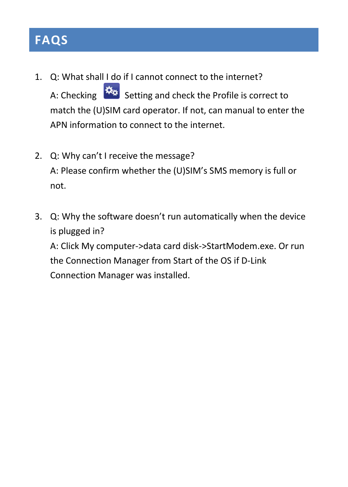### <span id="page-19-0"></span>**FAQS**

- 1. Q: What shall I do if I cannot connect to the internet? A: Checking  $\frac{X_2}{X_3}$  Setting and check the Profile is correct to match the (U)SIM card operator. If not, can manual to enter the APN information to connect to the internet.
- 2. Q: Why can't I receive the message? A: Please confirm whether the (U)SIM's SMS memory is full or not.
- 3. Q: Why the software doesn't run automatically when the device is plugged in? A: Click My computer->data card disk->StartModem.exe. Or run the Connection Manager from Start of the OS if D-Link Connection Manager was installed.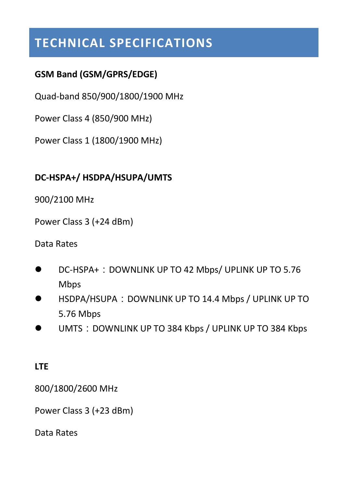### <span id="page-20-0"></span>**TECHNICAL SPECIFICATIONS**

#### **GSM Band (GSM/GPRS/EDGE)**

Quad-band 850/900/1800/1900 MHz

Power Class 4 (850/900 MHz)

Power Class 1 (1800/1900 MHz)

#### **DC-HSPA+/ HSDPA/HSUPA/UMTS**

900/2100 MHz

Power Class 3 (+24 dBm)

Data Rates

- DC-HSPA+: DOWNLINK UP TO 42 Mbps/ UPLINK UP TO 5.76 Mbps
- HSDPA/HSUPA:DOWNLINK UP TO 14.4 Mbps / UPLINK UP TO 5.76 Mbps
- UMTS: DOWNLINK UP TO 384 Kbps / UPLINK UP TO 384 Kbps

#### **LTE**

800/1800/2600 MHz

Power Class 3 (+23 dBm)

Data Rates